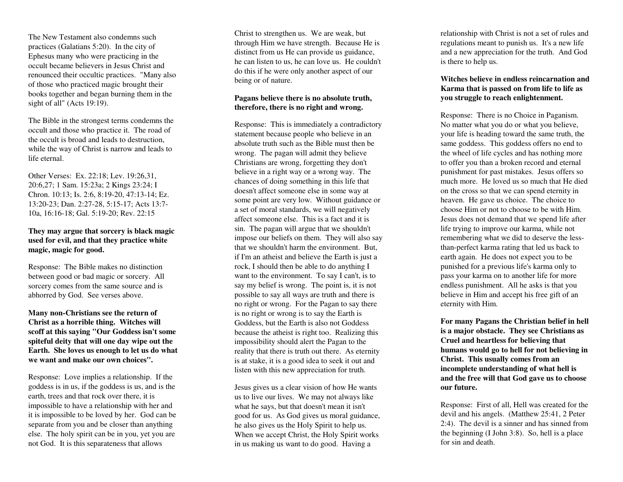The NewTestament also con demns suchpractices (Galatians 5:20). In the city of E p hesus man y w ho were practicing in the occult became believers in Jesus Christ andrenou nced their occultic practices. "Man y also of those w ho practiced magic brought their books together an d began b urning them in the sight of all" (Acts 19:19).

T he Bible in the strongest terms con demns the occult and those <sup>w</sup>ho practice it. T he road of the occult is broad an d leads to destruction, w hile the way of C hrist is narrow an d leads to life eternal.

Other Verses: Ex. 22:18; Lev. 19:26,31, 20:6,27; 1 Sam. 15:23a; 2 Kings 23:24; I Chron. 10:13; Is. 2:6, 8:19-20, 47:13-14; Ez. 13:20-23; Dan. 2:27-28, 5:15-17; Acts 13:7- 10a, 16:16-18; Gal. 5:19-20; Rev. 22:15

# **T hey m a y arg ue th at sorcery is black m a gic used for evil, <sup>a</sup> n d th at they practice <sup>w</sup> hite m a gic, <sup>m</sup> a gic for g o o d.**

Response: T he Bible makes no distinction between good or bad magic or sorcery. All sorcery comes from the same source an d is ab horred b y God. See verses above.

**Many non-Christians see the returnof Christ as ahorrible thing. Witches will scoff at this sayin g "O ur Goddess isn't somespiteful deity th at will <sup>o</sup>ne day wipe <sup>o</sup> ut theEarth. She loves us enoug h to let us d owhat we want andmake our own ch oices".**

Response: Love implies <sup>a</sup> relationship. If the god dess is in us, if the god dess is us, an d is the earth, trees an d that rock over there, it is impossible to have <sup>a</sup> relationship with her an d it is impossible to be loved b y her. God can be separate from you an d be closer than an ything else. T he holy spirit can be in you, yet you are not God. It is this separateness that allows

C hrist to strengthen us. We are weak, b ut through Himwe have strength. Because He is distinct from us He can provide us guidance, he can listen to us, he can love us. He could n'tdo this if he were only another aspec<sup>t</sup> of our being or of nature.

# **Pag ans believe there is <sup>n</sup>oabsolute truth, therefore, there is <sup>n</sup> o rig ht andwrong.**

Response: T his is immediately <sup>a</sup> contradictory statement because people <sup>w</sup> ho believe in an absolute truth such as the Bible must then bewrong. T he pagan will ad mit they believe C hristians are wrong, forgetting they don't believe in <sup>a</sup> right way or <sup>a</sup> wrong way. T he chances of doing something in this life that doesn't affect someone else in some way at some point are very low. Without guidance or a set of moral stan dards, we will negatively affect someone else. This is <sup>a</sup> fact and it is sin. T he pagan will argue that we should n't impose our beliefs on them. T hey will also say that we should n't harm the en viron ment. B ut, if I'm an atheist an d believe the Earth is just <sup>a</sup> rock, I should then be able to do an ything I want to the en viron ment. To say I can't, is to say my belief is wrong. T he point is, it is not possible to say all ways are truth an d there is no right or wrong. For the Pagan to say there is no right or wrong is to say the Earth is Goddess, b ut the Earth is also not God dessbecause the atheist is right too. Realizing this impossibility should alert the Pagan to the reality that there is truth out there. As eternity is at stake, it is <sup>a</sup> good idea to seek it out an d listen with this new ap preciation for truth.

Jesus gives us <sup>a</sup> clear vision of how He wants us to live our lives. We may not always like w hat he says, b ut that doesn't mean it isn't good for us. As God gives us moral guidance, he also gives us the Holy Spirit to help us. When we accep<sup>t</sup> C hrist, the Holy Spirit works in us making us want to do good. Having <sup>a</sup>

relationship with C hrist is not a set of rules an d regulations meant to p u nish us. It's a new life an d a new ap preciation for the truth. A n d God is there to help us.

# **Witches believe in en dless reincarnationandKarma that is p assedon fro m life to life as y o u stru g gle to reach enlig hten ment.**

Response: T here is no Choice inPaganism. No matter w hat you do or w hat you believe, your life is heading toward the same truth, the same god dess. T his god dess offers no en d to the w heel of life cycles an d has nothing more to offer you than <sup>a</sup> broken record an d eternal p u nish ment for pas<sup>t</sup> mistakes. Jesus offers so much more. He loved us so much that He died on the cross so that we can spen d eternity in heaven. He gave us choice. T he choice to choose Him or not to choose to be with Him. Jesus does not deman d that we spen d life after life trying to improve our karma, <sup>w</sup> hile not remembering <sup>w</sup> hat we did to deserve the lessthan-perfect karma rating that led us back to earth again. He does not ex pec<sup>t</sup> you to be p u nished for <sup>a</sup> previous life's karma only to pass your karma on to another life for more endless p unishment. All he asks is that you believe in Him an d accep<sup>t</sup> his free gift of an eternity with Him.

**F or ma n y P a g a ns the Christia n belief in hell is a major <sup>o</sup> bstacle. They see C hristia ns as Cruel a n d heartless for believin g th at h u ma ns wo uld g o to hell for n ot believin g in Christ. This usu ally co mes fro ma n inco mplete <sup>u</sup> n dersta n din g of wh at hell is a n d the free will th at Go d g a ve us to ch o ose our future.**

Response: First of all, Hell was created for the devil an d his angels. (Matthew 25:41, 2 Peter 2:4). T he devil is <sup>a</sup> sinner andhas sinned fromthe begin ning (I Joh n 3:8). So, hell is <sup>a</sup> place for sin and death.